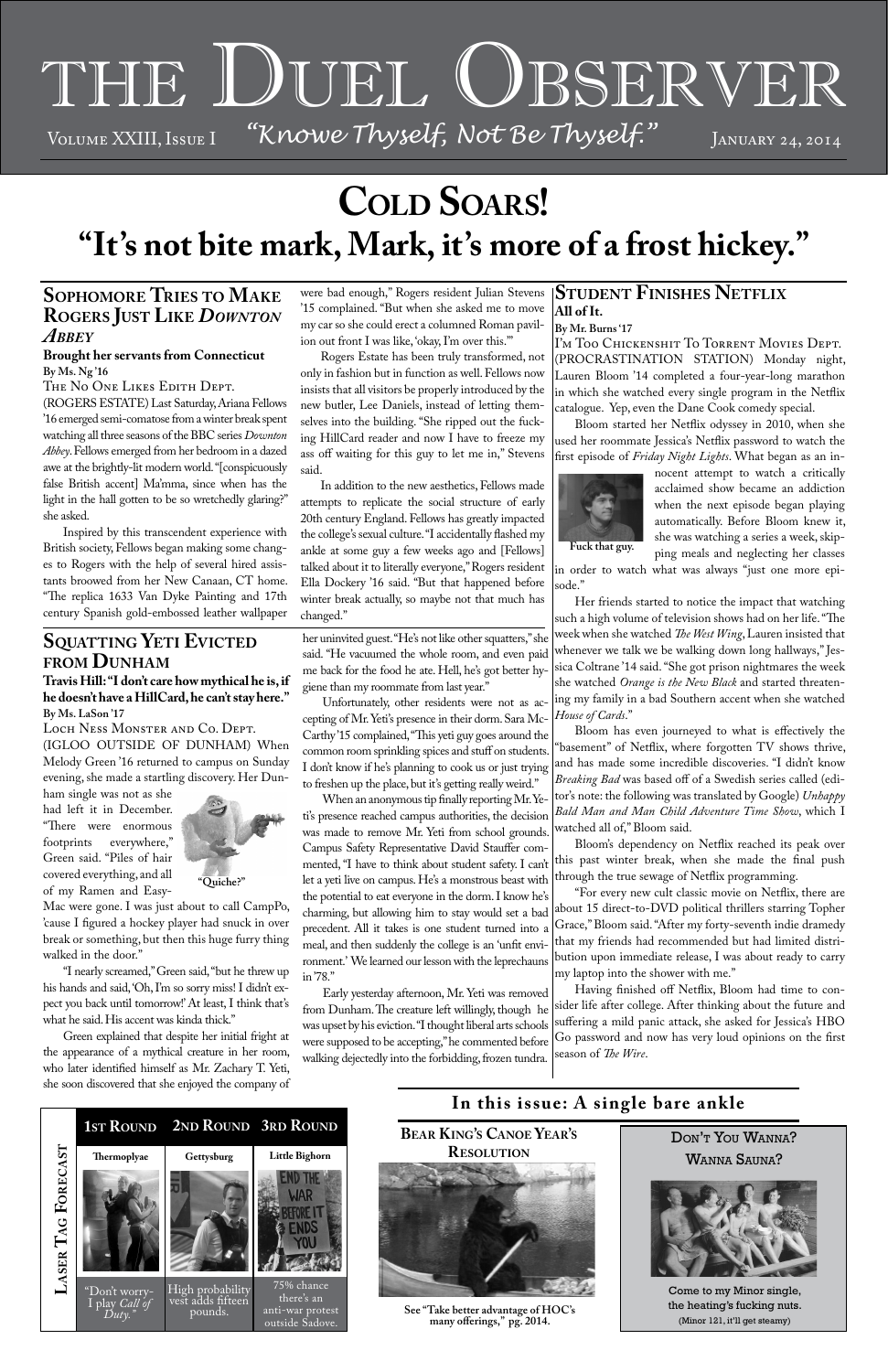## **Sophomore Tries to Make Rogers Just Like** *Downton Abbey*

#### **Brought her servants from Connecticut By Ms. Ng '16**

The No One Likes Edith Dept.

(ROGERS ESTATE) Last Saturday, Ariana Fellows '16 emerged semi-comatose from a winter break spent watching all three seasons of the BBC series *Downton Abbey*. Fellows emerged from her bedroom in a dazed awe at the brightly-lit modern world. "[conspicuously false British accent] Ma'mma, since when has the light in the hall gotten to be so wretchedly glaring?" she asked.

Inspired by this transcendent experience with British society, Fellows began making some changes to Rogers with the help of several hired assistants broowed from her New Canaan, CT home. "The replica 1633 Van Dyke Painting and 17th century Spanish gold-embossed leather wallpaper

were bad enough," Rogers resident Julian Stevens '15 complained. "But when she asked me to move my car so she could erect a columned Roman pavilion out front I was like, 'okay, I'm over this.'"

# COLD SOARS! **"It's not bite mark, Mark, it's more of a frost hickey."**

Don't You Wanna? WANNA SAUNA?

Rogers Estate has been truly transformed, not only in fashion but in function as well. Fellows now insists that all visitors be properly introduced by the new butler, Lee Daniels, instead of letting themselves into the building. "She ripped out the fucking HillCard reader and now I have to freeze my ass off waiting for this guy to let me in," Stevens said.

In addition to the new aesthetics, Fellows made attempts to replicate the social structure of early 20th century England. Fellows has greatly impacted the college's sexual culture. "I accidentally flashed my ankle at some guy a few weeks ago and [Fellows] talked about it to literally everyone," Rogers resident Ella Dockery '16 said. "But that happened before winter break actually, so maybe not that much has changed."

## **In this issue: A single bare ankle**



**3rd Round Bear King's Canoe Year's Resolution**



**See "Take better advantage of HOC's many offerings," pg. 2014.**

## **Student Finishes Netflix All of It.**

**By Mr. Burns '17**

# THE DUEL OBSERVER *"Knowe Thyself, Not Be Thyself."* January 24, 2014 Volume XXIII, Issue I

I'm Too Chickenshit To Torrent Movies Dept. (PROCRASTINATION STATION) Monday night, Lauren Bloom '14 completed a four-year-long marathon in which she watched every single program in the Netflix catalogue. Yep, even the Dane Cook comedy special.

LOCH NESS MONSTER AND CO. DEPT. (IGLOO OUTSIDE OF DUNHAM) When Melody Green '16 returned to campus on Sunday evening, she made a startling discovery. Her Dun-

Bloom started her Netflix odyssey in 2010, when she used her roommate Jessica's Netflix password to watch the first episode of *Friday Night Lights*. What began as an in-

> nocent attempt to watch a critically acclaimed show became an addiction when the next episode began playing automatically. Before Bloom knew it, she was watching a series a week, skipping meals and neglecting her classes

in order to watch what was always "just one more episode."

Her friends started to notice the impact that watching such a high volume of television shows had on her life. "The week when she watched *The West Wing*, Lauren insisted that whenever we talk we be walking down long hallways," Jessica Coltrane '14 said. "She got prison nightmares the week she watched *Orange is the New Black* and started threatening my family in a bad Southern accent when she watched *House of Cards*."

Bloom has even journeyed to what is effectively the "basement" of Netflix, where forgotten TV shows thrive, and has made some incredible discoveries. "I didn't know *Breaking Bad* was based off of a Swedish series called (editor's note: the following was translated by Google) *Unhappy Bald Man and Man Child Adventure Time Show*, which I watched all of," Bloom said.

Bloom's dependency on Netflix reached its peak over this past winter break, when she made the final push through the true sewage of Netflix programming.

"For every new cult classic movie on Netflix, there are about 15 direct-to-DVD political thrillers starring Topher Grace," Bloom said. "After my forty-seventh indie dramedy that my friends had recommended but had limited distribution upon immediate release, I was about ready to carry my laptop into the shower with me."

Having finished off Netflix, Bloom had time to conder life after college. After thinking about the future and suffering a mild panic attack, she asked for Jessica's HBO Go password and now has very loud opinions on the first



Come to my Minor single, the heating's fucking nuts. (Minor 121, it'll get steamy)

# **Squatting Yeti Evicted from Dunham**

**Travis Hill: "I don't care how mythical he is, if he doesn't have a HillCard, he can't stay here." By Ms. LaSon '17**

ham single was not as she had left it in December. "There were enormous footprints everywhere," Green said. "Piles of hair covered everything, and all of my Ramen and Easy-

Mac were gone. I was just about to call CampPo, 'cause I figured a hockey player had snuck in over break or something, but then this huge furry thing walked in the door."

"I nearly screamed," Green said, "but he threw up his hands and said, 'Oh, I'm so sorry miss! I didn't expect you back until tomorrow!' At least, I think that's what he said. His accent was kinda thick."

Green explained that despite her initial fright at the appearance of a mythical creature in her room, who later identified himself as Mr. Zachary T. Yeti, she soon discovered that she enjoyed the company of

season of *The Wire*. Early yesterday afternoon, Mr. Yeti was removed from Dunham. The creature left willingly, though he was upset by his eviction. "I thought liberal arts schools were supposed to be accepting," he commented before walking dejectedly into the forbidding, frozen tundra.

her uninvited guest. "He's not like other squatters," she said. "He vacuumed the whole room, and even paid me back for the food he ate. Hell, he's got better hygiene than my roommate from last year."

Unfortunately, other residents were not as accepting of Mr. Yeti's presence in their dorm. Sara Mc-Carthy '15 complained, "This yeti guy goes around the common room sprinkling spices and stuff on students. I don't know if he's planning to cook us or just trying to freshen up the place, but it's getting really weird."

When an anonymous tip finally reporting Mr. Yeti's presence reached campus authorities, the decision was made to remove Mr. Yeti from school grounds. Campus Safety Representative David Stauffer commented, "I have to think about student safety. I can't let a yeti live on campus. He's a monstrous beast with the potential to eat everyone in the dorm. I know he's charming, but allowing him to stay would set a bad precedent. All it takes is one student turned into a meal, and then suddenly the college is an 'unfit environment.' We learned our lesson with the leprechauns in '78."